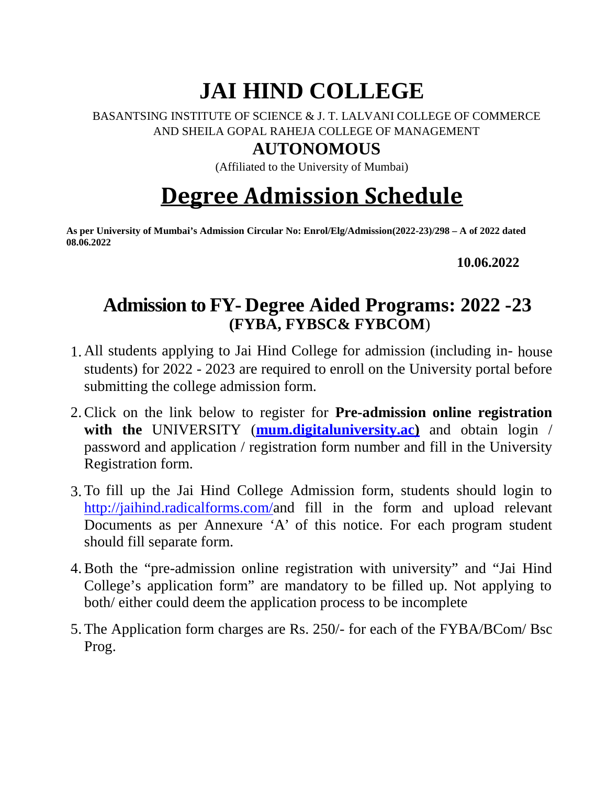# **JAI HIND COLLEGE**

#### BASANTSING INSTITUTE OF SCIENCE & J. T. LALVANI COLLEGE OF COMMERCE AND SHEILA GOPAL RAHEJA COLLEGE OF MANAGEMENT

### **AUTONOMOUS**

(Affiliated to the University of Mumbai)

# **Degree Admission Schedule**

**As per University of Mumbai's Admission Circular No: Enrol/Elg/Admission(2022-23)/298 – A of 2022 dated 08.06.2022**

**10.06.2022**

## **Admission to FY- Degree Aided Programs: 2022 -23 (FYBA, FYBSC& FYBCOM**)

- 1. All students applying to Jai Hind College for admission (including in- house students) for 2022 - 2023 are required to enroll on the University portal before submitting the college admission form.
- 2.Click on the link below to register for **Pre-admission online registration with the** UNIVERSITY (**mum.digitaluniversity.ac)** and obtain login / password and application / registration form number and fill in the University Registration form.
- 3. To fill up the Jai Hind College Admission form, students should login to http://jaihind.radicalforms.com/and fill in the form and upload relevant Documents as per Annexure 'A' of this notice. For each program student should fill separate form.
- 4.Both the "pre-admission online registration with university" and "Jai Hind College's application form" are mandatory to be filled up. Not applying to both/ either could deem the application process to be incomplete
- 5. The Application form charges are Rs. 250/- for each of the FYBA/BCom/ Bsc Prog.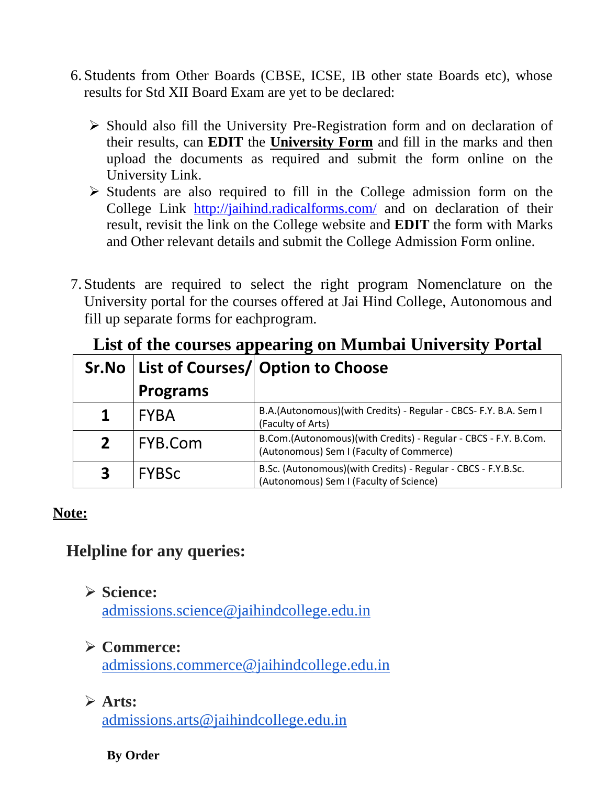- 6. Students from Other Boards (CBSE, ICSE, IB other state Boards etc), whose results for Std XII Board Exam are yet to be declared:
	- $\triangleright$  Should also fill the University Pre-Registration form and on declaration of their results, can **EDIT** the **University Form** and fill in the marks and then upload the documents as required and submit the form online on the University Link.
	- $\triangleright$  Students are also required to fill in the College admission form on the College Link http://jaihind.radicalforms.com/ and on declaration of their result, revisit the link on the College website and **EDIT** the form with Marks and Other relevant details and submit the College Admission Form online.
- 7. Students are required to select the right program Nomenclature on the University portal for the courses offered at Jai Hind College, Autonomous and fill up separate forms for eachprogram.

| $\frac{1}{2}$           |                 |                                                                                                             |  |  |
|-------------------------|-----------------|-------------------------------------------------------------------------------------------------------------|--|--|
|                         |                 | Sr.No   List of Courses/  Option to Choose                                                                  |  |  |
|                         | <b>Programs</b> |                                                                                                             |  |  |
|                         | <b>FYBA</b>     | B.A.(Autonomous)(with Credits) - Regular - CBCS- F.Y. B.A. Sem I<br>(Faculty of Arts)                       |  |  |
| 2 <sup>1</sup>          | FYB.Com         | B.Com.(Autonomous)(with Credits) - Regular - CBCS - F.Y. B.Com.<br>(Autonomous) Sem I (Faculty of Commerce) |  |  |
| $\overline{\mathbf{3}}$ | <b>FYBSC</b>    | B.Sc. (Autonomous)(with Credits) - Regular - CBCS - F.Y.B.Sc.<br>(Autonomous) Sem I (Faculty of Science)    |  |  |

### **List of the courses appearing on Mumbai University Portal**

#### **Note:**

### **Helpline for any queries:**

### **Science:**

admissions.science@jaihindcollege.edu.in

### **Commerce:**

admissions.commerce@jaihindcollege.edu.in

### **Arts:**

admissions.arts@jaihindcollege.edu.in

#### **By Order**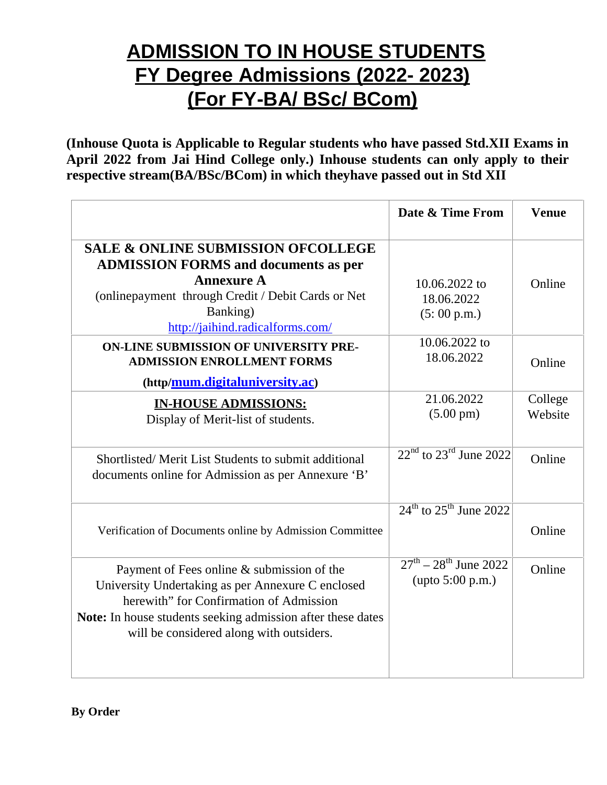## **ADMISSION TO IN HOUSE STUDENTS FY Degree Admissions (2022- 2023) (For FY-BA/ BSc/ BCom)**

**(Inhouse Quota is Applicable to Regular students who have passed Std.XII Exams in April 2022 from Jai Hind College only.) Inhouse students can only apply to their respective stream(BA/BSc/BCom) in which theyhave passed out in Std XII**

|                                                                                                                                                                                                                                                       | Date & Time From                                                  | <b>Venue</b>       |
|-------------------------------------------------------------------------------------------------------------------------------------------------------------------------------------------------------------------------------------------------------|-------------------------------------------------------------------|--------------------|
| <b>SALE &amp; ONLINE SUBMISSION OFCOLLEGE</b><br><b>ADMISSION FORMS and documents as per</b><br><b>Annexure A</b><br>(onlinepayment through Credit / Debit Cards or Net<br>Banking)<br>http://jaihind.radicalforms.com/                               | 10.06.2022 to<br>18.06.2022<br>(5:00 p.m.)                        | Online             |
| ON-LINE SUBMISSION OF UNIVERSITY PRE-<br><b>ADMISSION ENROLLMENT FORMS</b><br>(http/mum.digitaluniversity.ac)                                                                                                                                         | 10.06.2022 to<br>18.06.2022                                       | Online             |
| <b>IN-HOUSE ADMISSIONS:</b><br>Display of Merit-list of students.                                                                                                                                                                                     | 21.06.2022<br>$(5.00 \text{ pm})$                                 | College<br>Website |
| Shortlisted/Merit List Students to submit additional<br>documents online for Admission as per Annexure 'B'                                                                                                                                            | $22nd$ to $23rd$ June 2022                                        | Online             |
| Verification of Documents online by Admission Committee                                                                                                                                                                                               | $24^{\text{th}}$ to $25^{\text{th}}$ June 2022                    | Online             |
| Payment of Fees online & submission of the<br>University Undertaking as per Annexure C enclosed<br>herewith" for Confirmation of Admission<br>Note: In house students seeking admission after these dates<br>will be considered along with outsiders. | $27^{\text{th}} - 28^{\text{th}}$ June 2022<br>(upto $5:00$ p.m.) | Online             |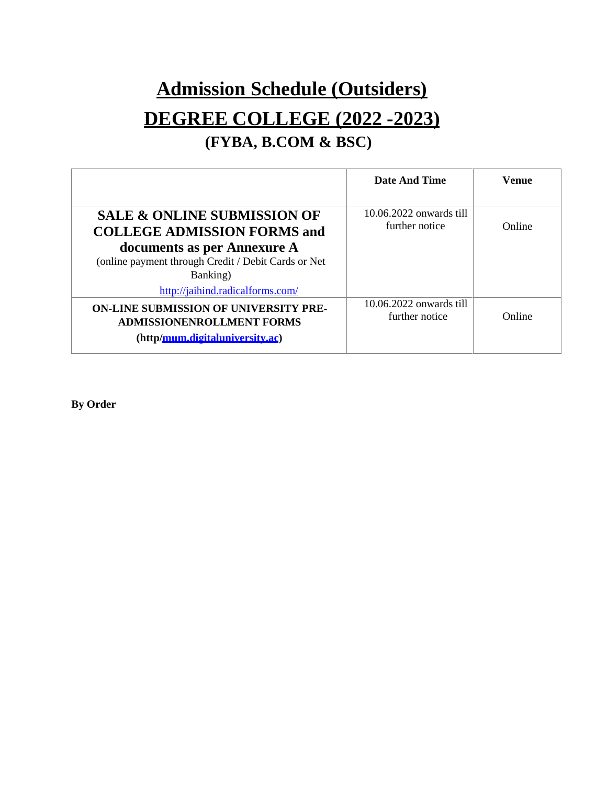# **Admission Schedule (Outsiders) DEGREE COLLEGE (2022 -2023) (FYBA, B.COM & BSC)**

|                                                                                                                                                                                                                    | Date And Time                             | <b>Venue</b> |
|--------------------------------------------------------------------------------------------------------------------------------------------------------------------------------------------------------------------|-------------------------------------------|--------------|
| <b>SALE &amp; ONLINE SUBMISSION OF</b><br><b>COLLEGE ADMISSION FORMS and</b><br>documents as per Annexure A<br>(online payment through Credit / Debit Cards or Net<br>Banking)<br>http://jaihind.radicalforms.com/ | 10.06.2022 onwards till<br>further notice | Online       |
| <b>ON-LINE SUBMISSION OF UNIVERSITY PRE-</b><br><b>ADMISSIONENROLLMENT FORMS</b><br>(http/mum.digitaluniversity.ac)                                                                                                | 10.06.2022 onwards till<br>further notice | Online       |

**By Order**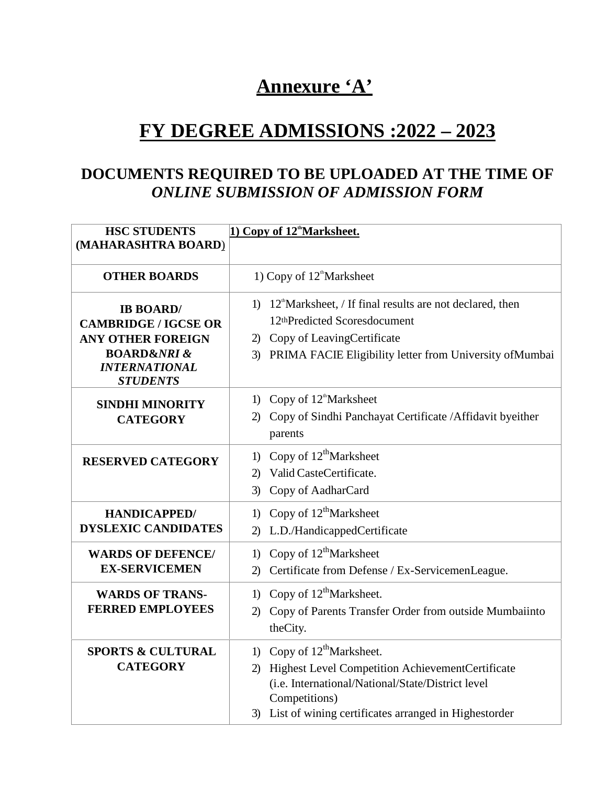## **Annexure 'A'**

## **FY DEGREE ADMISSIONS :2022 – 2023**

### **DOCUMENTS REQUIRED TO BE UPLOADED AT THE TIME OF** *ONLINE SUBMISSION OF ADMISSION FORM*

| <b>HSC STUDENTS</b><br>1) Copy of 12 <sup>th</sup> Marksheet.<br>(MAHARASHTRA BOARD)                                                                 |                                                                                                                                                                                                                                   |  |
|------------------------------------------------------------------------------------------------------------------------------------------------------|-----------------------------------------------------------------------------------------------------------------------------------------------------------------------------------------------------------------------------------|--|
| <b>OTHER BOARDS</b>                                                                                                                                  | 1) Copy of 12 <sup>th</sup> Marksheet                                                                                                                                                                                             |  |
| <b>IB BOARD/</b><br><b>CAMBRIDGE / IGCSE OR</b><br><b>ANY OTHER FOREIGN</b><br><b>BOARD&amp;NRI &amp;</b><br><b>INTERNATIONAL</b><br><b>STUDENTS</b> | 1) $12^{\circ}$ Marksheet, / If final results are not declared, then<br>12thPredicted Scoresdocument<br>2) Copy of LeavingCertificate<br>PRIMA FACIE Eligibility letter from University of Mumbai<br>3)                           |  |
| <b>SINDHI MINORITY</b><br><b>CATEGORY</b>                                                                                                            | Copy of 12 <sup>th</sup> Marksheet<br>1)<br>Copy of Sindhi Panchayat Certificate / Affidavit byeither<br>2<br>parents                                                                                                             |  |
| <b>RESERVED CATEGORY</b>                                                                                                                             | Copy of $12^{\text{th}}$ Marksheet<br>1)<br>Valid CasteCertificate.<br>2)<br>Copy of AadharCard<br>3)                                                                                                                             |  |
| <b>HANDICAPPED/</b><br><b>DYSLEXIC CANDIDATES</b>                                                                                                    | Copy of $12^{\text{th}}$ Marksheet<br>1)<br>L.D./HandicappedCertificate<br>(2)                                                                                                                                                    |  |
| <b>WARDS OF DEFENCE/</b><br><b>EX-SERVICEMEN</b>                                                                                                     | Copy of $12^{\text{th}}$ Marksheet<br>1)<br>Certificate from Defense / Ex-ServicemenLeague.<br>$\mathbf{2}$                                                                                                                       |  |
| <b>WARDS OF TRANS-</b><br><b>FERRED EMPLOYEES</b>                                                                                                    | Copy of $12^{\text{th}}$ Marksheet.<br>$\left( \right)$<br>Copy of Parents Transfer Order from outside Mumbaiinto<br>(2)<br>theCity.                                                                                              |  |
| <b>SPORTS &amp; CULTURAL</b><br><b>CATEGORY</b>                                                                                                      | 1) Copy of $12^{\text{th}}$ Marksheet.<br>Highest Level Competition AchievementCertificate<br>2)<br>(i.e. International/National/State/District level<br>Competitions)<br>3) List of wining certificates arranged in Highestorder |  |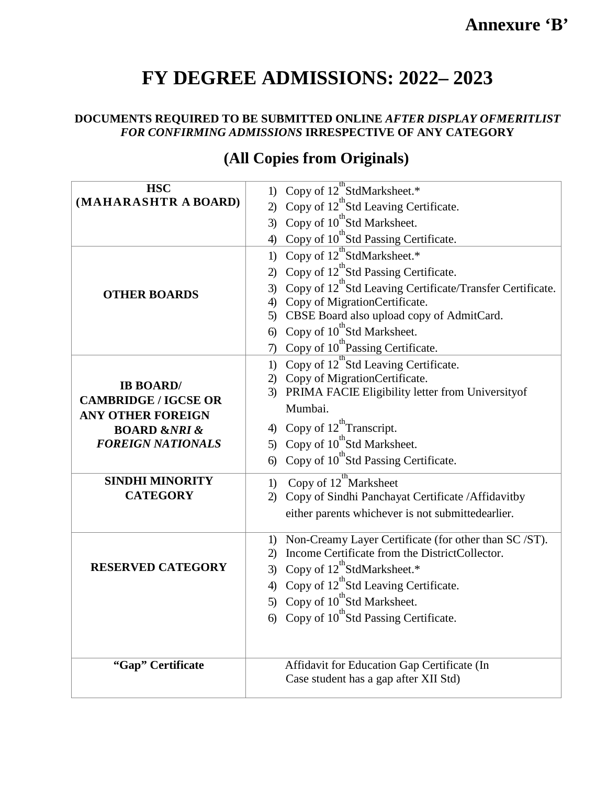## **Annexure 'B'**

## **FY DEGREE ADMISSIONS: 2022– 2023**

#### **DOCUMENTS REQUIRED TO BE SUBMITTED ONLINE** *AFTER DISPLAY OFMERITLIST FOR CONFIRMING ADMISSIONS* **IRRESPECTIVE OF ANY CATEGORY**

| <b>HSC</b>                                              | 1) Copy of 12 <sup>th</sup> StdMarksheet.*                         |
|---------------------------------------------------------|--------------------------------------------------------------------|
| (MAHARASHTR A BOARD)                                    | 2) Copy of $12^{th}$ Std Leaving Certificate.                      |
|                                                         | 3) Copy of $10^{th}$ Std Marksheet.                                |
|                                                         | 4) Copy of $10^{th}$ Std Passing Certificate.                      |
|                                                         | 1) Copy of $12^{th}$ StdMarksheet.*                                |
|                                                         | 2) Copy of $12^{\text{th}}$ Std Passing Certificate.               |
|                                                         | 3) Copy of $12^{th}$ Std Leaving Certificate/Transfer Certificate. |
| <b>OTHER BOARDS</b>                                     | 4) Copy of MigrationCertificate.                                   |
|                                                         | 5) CBSE Board also upload copy of AdmitCard.                       |
|                                                         | 6) Copy of 10 <sup>th</sup> Std Marksheet.                         |
|                                                         | 7) Copy of 10 <sup>th</sup> Passing Certificate.                   |
|                                                         | 1) Copy of $12^{\text{th}}$ Std Leaving Certificate.               |
|                                                         | 2) Copy of MigrationCertificate.                                   |
| <b>IB BOARD/</b>                                        | 3) PRIMA FACIE Eligibility letter from University of               |
| <b>CAMBRIDGE / IGCSE OR</b>                             | Mumbai.                                                            |
| <b>ANY OTHER FOREIGN</b>                                | 4) Copy of $12^{th}$ Transcript.                                   |
| <b>BOARD &amp;NRI &amp;</b><br><b>FOREIGN NATIONALS</b> | 5) Copy of 10 <sup>th</sup> Std Marksheet.                         |
|                                                         | 6) Copy of $10^{th}$ Std Passing Certificate.                      |
|                                                         |                                                                    |
| <b>SINDHI MINORITY</b>                                  | 1) Copy of 12 <sup>th</sup> Marksheet                              |
| <b>CATEGORY</b>                                         | 2) Copy of Sindhi Panchayat Certificate / Affidavitby              |
|                                                         | either parents whichever is not submittedearlier.                  |
|                                                         | 1) Non-Creamy Layer Certificate (for other than SC/ST).            |
|                                                         | 2) Income Certificate from the DistrictCollector.                  |
| <b>RESERVED CATEGORY</b>                                | 3) Copy of $12^{th}$ StdMarksheet.*                                |
|                                                         | 4) Copy of $12^{th}$ Std Leaving Certificate.                      |
|                                                         | 5) Copy of 10 <sup>th</sup> Std Marksheet.                         |
|                                                         | 6) Copy of $10^{th}$ Std Passing Certificate.                      |
| "Gap" Certificate                                       | Affidavit for Education Gap Certificate (In                        |
|                                                         | Case student has a gap after XII Std)                              |
|                                                         |                                                                    |

## **(All Copies from Originals)**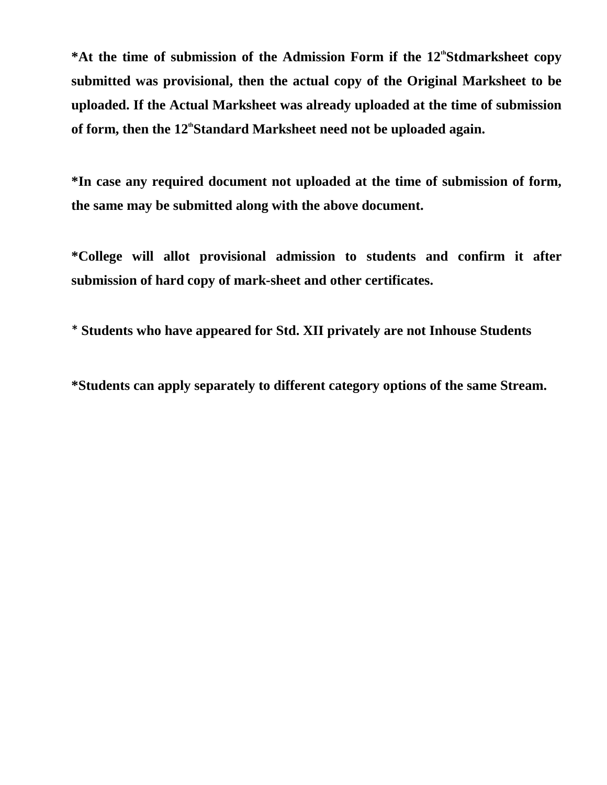\*At the time of submission of the Admission Form if the 12<sup>th</sup>Stdmarksheet copy **submitted was provisional, then the actual copy of the Original Marksheet to be uploaded. If the Actual Marksheet was already uploaded at the time of submission** of form, then the 12<sup>th</sup>Standard Marksheet need not be uploaded again.

**\*In case any required document not uploaded at the time of submission of form, the same may be submitted along with the above document.**

**\*College will allot provisional admission to students and confirm it after submission of hard copy of mark-sheet and other certificates.**

\* **Students who have appeared for Std. XII privately are not Inhouse Students**

**\*Students can apply separately to different category options of the same Stream.**